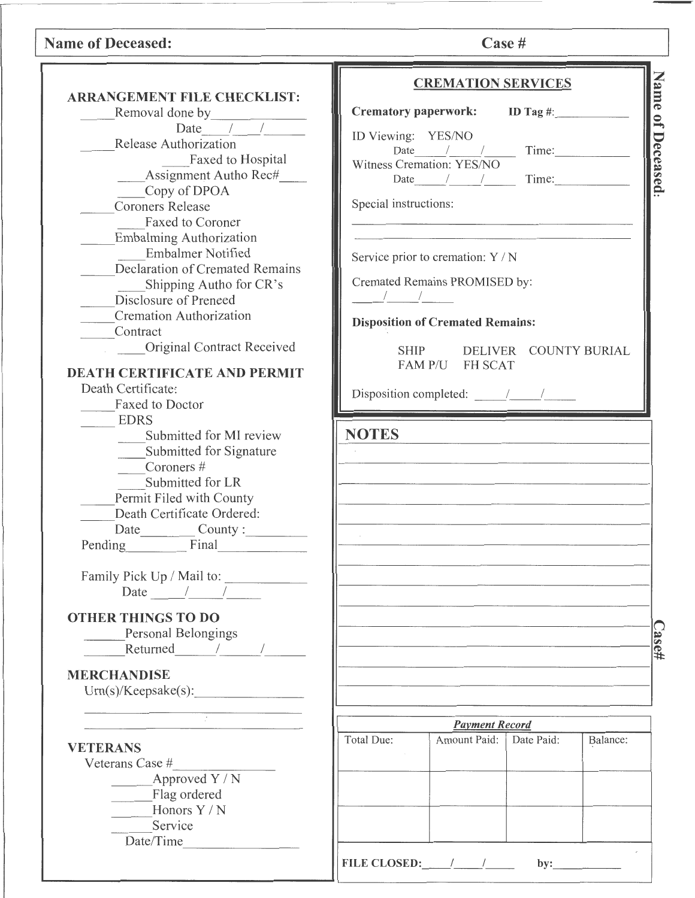# Name of Deceased: Case #

|                                                          | <b>CREMATION SERVICES</b>                                                                                                                                                                                                                                                                                                                                                                                  |
|----------------------------------------------------------|------------------------------------------------------------------------------------------------------------------------------------------------------------------------------------------------------------------------------------------------------------------------------------------------------------------------------------------------------------------------------------------------------------|
| <b>ARRANGEMENT FILE CHECKLIST:</b>                       | Name of Deceased.                                                                                                                                                                                                                                                                                                                                                                                          |
| Removal done by<br>Date $\frac{1}{\sqrt{1-\frac{1}{2}}}$ | Crematory paperwork: ID Tag #:                                                                                                                                                                                                                                                                                                                                                                             |
|                                                          | ID Viewing: YES/NO                                                                                                                                                                                                                                                                                                                                                                                         |
| Release Authorization                                    | Date $\frac{1}{\sqrt{1-\frac{1}{2}}}\$ Time:                                                                                                                                                                                                                                                                                                                                                               |
| Faxed to Hospital                                        | Witness Cremation: YES/NO                                                                                                                                                                                                                                                                                                                                                                                  |
| Assignment Autho Rec#                                    | Date $\frac{1}{\sqrt{1-\frac{1}{2}}}\$ Time:                                                                                                                                                                                                                                                                                                                                                               |
| Copy of DPOA                                             |                                                                                                                                                                                                                                                                                                                                                                                                            |
| <b>Coroners Release</b>                                  | Special instructions:                                                                                                                                                                                                                                                                                                                                                                                      |
| Faxed to Coroner                                         |                                                                                                                                                                                                                                                                                                                                                                                                            |
| <b>Embalming Authorization</b>                           |                                                                                                                                                                                                                                                                                                                                                                                                            |
| <b>Embalmer Notified</b>                                 | Service prior to cremation: Y / N                                                                                                                                                                                                                                                                                                                                                                          |
| Declaration of Cremated Remains                          |                                                                                                                                                                                                                                                                                                                                                                                                            |
| Shipping Autho for CR's                                  | Cremated Remains PROMISED by:                                                                                                                                                                                                                                                                                                                                                                              |
| Disclosure of Preneed                                    | $\frac{1}{2}$ $\frac{1}{2}$ $\frac{1}{2}$ $\frac{1}{2}$ $\frac{1}{2}$ $\frac{1}{2}$ $\frac{1}{2}$ $\frac{1}{2}$ $\frac{1}{2}$ $\frac{1}{2}$ $\frac{1}{2}$ $\frac{1}{2}$ $\frac{1}{2}$ $\frac{1}{2}$ $\frac{1}{2}$ $\frac{1}{2}$ $\frac{1}{2}$ $\frac{1}{2}$ $\frac{1}{2}$ $\frac{1}{2}$ $\frac{1}{2}$ $\frac{1}{2}$                                                                                        |
| <b>Cremation Authorization</b>                           |                                                                                                                                                                                                                                                                                                                                                                                                            |
| Contract                                                 | <b>Disposition of Cremated Remains:</b>                                                                                                                                                                                                                                                                                                                                                                    |
| Original Contract Received                               | DELIVER COUNTY BURIAL                                                                                                                                                                                                                                                                                                                                                                                      |
|                                                          | <b>SHIP</b><br>FAM P/U FH SCAT                                                                                                                                                                                                                                                                                                                                                                             |
| <b>DEATH CERTIFICATE AND PERMIT</b>                      |                                                                                                                                                                                                                                                                                                                                                                                                            |
| Death Certificate:                                       | Disposition completed: $\frac{1}{\sqrt{1-\frac{1}{2}}}\frac{1}{\sqrt{1-\frac{1}{2}}}\frac{1}{\sqrt{1-\frac{1}{2}}}\frac{1}{\sqrt{1-\frac{1}{2}}}\frac{1}{\sqrt{1-\frac{1}{2}}}\frac{1}{\sqrt{1-\frac{1}{2}}}\frac{1}{\sqrt{1-\frac{1}{2}}}\frac{1}{\sqrt{1-\frac{1}{2}}}\frac{1}{\sqrt{1-\frac{1}{2}}}\frac{1}{\sqrt{1-\frac{1}{2}}}\frac{1}{\sqrt{1-\frac{1}{2}}}\frac{1}{\sqrt{1-\frac{1}{2}}}\frac{1}{$ |
| <b>Faxed to Doctor</b>                                   |                                                                                                                                                                                                                                                                                                                                                                                                            |
| <b>EDRS</b>                                              |                                                                                                                                                                                                                                                                                                                                                                                                            |
| Submitted for MI review                                  | <b>NOTES</b>                                                                                                                                                                                                                                                                                                                                                                                               |
| Submitted for Signature                                  |                                                                                                                                                                                                                                                                                                                                                                                                            |
| Coroners #                                               |                                                                                                                                                                                                                                                                                                                                                                                                            |
| Submitted for LR                                         |                                                                                                                                                                                                                                                                                                                                                                                                            |
| Permit Filed with County                                 |                                                                                                                                                                                                                                                                                                                                                                                                            |
| Death Certificate Ordered:                               |                                                                                                                                                                                                                                                                                                                                                                                                            |
|                                                          |                                                                                                                                                                                                                                                                                                                                                                                                            |
| Pending Final                                            |                                                                                                                                                                                                                                                                                                                                                                                                            |
| Family Pick Up / Mail to:                                |                                                                                                                                                                                                                                                                                                                                                                                                            |
| Date $\frac{1}{\sqrt{2}}$                                |                                                                                                                                                                                                                                                                                                                                                                                                            |
|                                                          |                                                                                                                                                                                                                                                                                                                                                                                                            |
| <b>OTHER THINGS TO DO</b>                                |                                                                                                                                                                                                                                                                                                                                                                                                            |
| Personal Belongings                                      |                                                                                                                                                                                                                                                                                                                                                                                                            |
| Returned / /                                             | $\overline{\text{Case}}$ #                                                                                                                                                                                                                                                                                                                                                                                 |
|                                                          |                                                                                                                                                                                                                                                                                                                                                                                                            |
| <b>MERCHANDISE</b>                                       |                                                                                                                                                                                                                                                                                                                                                                                                            |
| Urn(s)/Keepsake(s):                                      |                                                                                                                                                                                                                                                                                                                                                                                                            |
|                                                          |                                                                                                                                                                                                                                                                                                                                                                                                            |
|                                                          | <b>Payment Record</b>                                                                                                                                                                                                                                                                                                                                                                                      |
| <b>VETERANS</b>                                          | Amount Paid:<br>Date Paid:<br>Total Due:<br>Balance:                                                                                                                                                                                                                                                                                                                                                       |
| Veterans Case #                                          |                                                                                                                                                                                                                                                                                                                                                                                                            |
| Approved Y / N                                           |                                                                                                                                                                                                                                                                                                                                                                                                            |
| Flag ordered                                             |                                                                                                                                                                                                                                                                                                                                                                                                            |
| Honors Y / N                                             |                                                                                                                                                                                                                                                                                                                                                                                                            |
| Service                                                  |                                                                                                                                                                                                                                                                                                                                                                                                            |
| Date/Time                                                |                                                                                                                                                                                                                                                                                                                                                                                                            |
|                                                          |                                                                                                                                                                                                                                                                                                                                                                                                            |
|                                                          | FILE CLOSED: $\frac{1}{\sqrt{2}}$<br>$by:\underline{\qquad \qquad }$                                                                                                                                                                                                                                                                                                                                       |
|                                                          |                                                                                                                                                                                                                                                                                                                                                                                                            |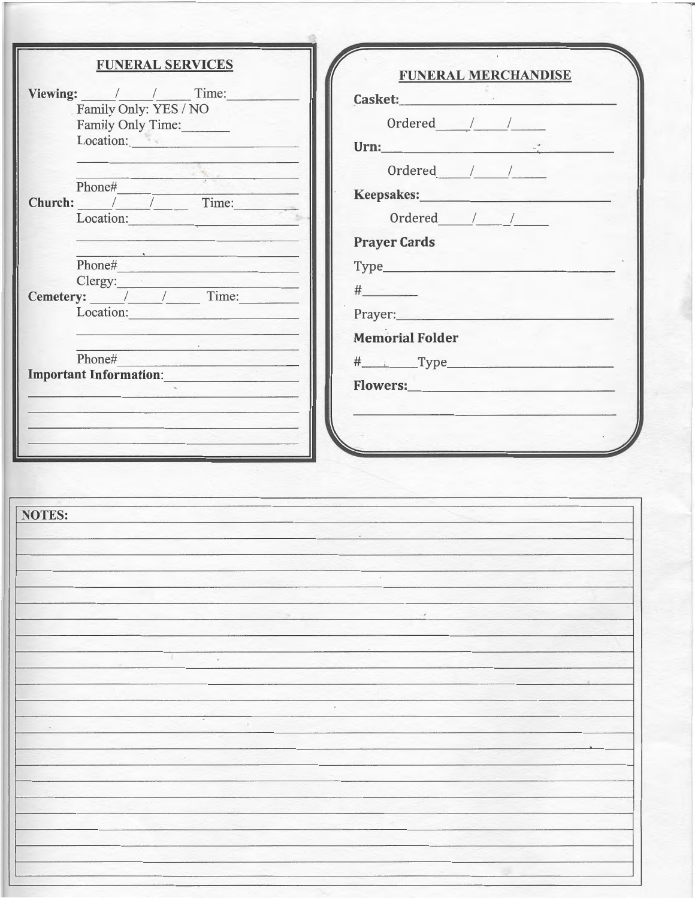| <b>FUNERAL SERVICES</b>                                                                                                                                                                                                              | <b>FUNERAL MERCHANDISE</b>                                                                                                                                                                                                                                                                                                                                                                                                                                                                |
|--------------------------------------------------------------------------------------------------------------------------------------------------------------------------------------------------------------------------------------|-------------------------------------------------------------------------------------------------------------------------------------------------------------------------------------------------------------------------------------------------------------------------------------------------------------------------------------------------------------------------------------------------------------------------------------------------------------------------------------------|
| Viewing: / / Time:                                                                                                                                                                                                                   | Casket:                                                                                                                                                                                                                                                                                                                                                                                                                                                                                   |
| Family Only: YES / NO<br>Family Only Time:                                                                                                                                                                                           | Ordered $/$ / $/$                                                                                                                                                                                                                                                                                                                                                                                                                                                                         |
| Location: Executive Contract of the Contract of the Contract of the Contract of the Contract of the Contract of the Contract of the Contract of the Contract of the Contract of the Contract of the Contract of the Contract o       | Urn: $\frac{1}{2}$                                                                                                                                                                                                                                                                                                                                                                                                                                                                        |
|                                                                                                                                                                                                                                      | Ordered / /                                                                                                                                                                                                                                                                                                                                                                                                                                                                               |
| the company of the company of the company<br>Phone#                                                                                                                                                                                  |                                                                                                                                                                                                                                                                                                                                                                                                                                                                                           |
| Church: / / Time:                                                                                                                                                                                                                    | Keepsakes: New York Changes and Security Assembly                                                                                                                                                                                                                                                                                                                                                                                                                                         |
| Location:                                                                                                                                                                                                                            | Ordered / /                                                                                                                                                                                                                                                                                                                                                                                                                                                                               |
| <u> Listen de Marie de la componenta</u><br>The company of the company of the company of the company of the company of                                                                                                               | <b>Prayer Cards</b>                                                                                                                                                                                                                                                                                                                                                                                                                                                                       |
| Phone#                                                                                                                                                                                                                               |                                                                                                                                                                                                                                                                                                                                                                                                                                                                                           |
| Clergy: <u>Cemetery: / / / Time:</u>                                                                                                                                                                                                 | $\begin{array}{c} \n \text{#} \quad \text{#} \quad \text{#} \quad \text{#} \quad \text{#} \quad \text{#} \quad \text{#} \quad \text{#} \quad \text{#} \quad \text{#} \quad \text{#} \quad \text{#} \quad \text{#} \quad \text{#} \quad \text{#} \quad \text{#} \quad \text{#} \quad \text{#} \quad \text{#} \quad \text{#} \quad \text{#} \quad \text{#} \quad \text{#} \quad \text{#} \quad \text{#} \quad \text{#} \quad \text{#} \quad \text{#} \quad \text{#} \quad \text{#} \quad \$ |
| Location:                                                                                                                                                                                                                            |                                                                                                                                                                                                                                                                                                                                                                                                                                                                                           |
| <u>ring in the second complete the second second second second second second second second second second second second second second second second second second second second second second second second second second second </u> | <b>Memorial Folder</b>                                                                                                                                                                                                                                                                                                                                                                                                                                                                    |
| Phone#                                                                                                                                                                                                                               | # Type                                                                                                                                                                                                                                                                                                                                                                                                                                                                                    |
| Important Information: New York 1989                                                                                                                                                                                                 |                                                                                                                                                                                                                                                                                                                                                                                                                                                                                           |
| <u> 1990 - La Stevenske kommunistiske f</u>                                                                                                                                                                                          |                                                                                                                                                                                                                                                                                                                                                                                                                                                                                           |
|                                                                                                                                                                                                                                      |                                                                                                                                                                                                                                                                                                                                                                                                                                                                                           |
|                                                                                                                                                                                                                                      |                                                                                                                                                                                                                                                                                                                                                                                                                                                                                           |
|                                                                                                                                                                                                                                      |                                                                                                                                                                                                                                                                                                                                                                                                                                                                                           |
|                                                                                                                                                                                                                                      |                                                                                                                                                                                                                                                                                                                                                                                                                                                                                           |
|                                                                                                                                                                                                                                      |                                                                                                                                                                                                                                                                                                                                                                                                                                                                                           |
| <b>NOTES:</b>                                                                                                                                                                                                                        |                                                                                                                                                                                                                                                                                                                                                                                                                                                                                           |
|                                                                                                                                                                                                                                      |                                                                                                                                                                                                                                                                                                                                                                                                                                                                                           |
|                                                                                                                                                                                                                                      |                                                                                                                                                                                                                                                                                                                                                                                                                                                                                           |
|                                                                                                                                                                                                                                      |                                                                                                                                                                                                                                                                                                                                                                                                                                                                                           |
|                                                                                                                                                                                                                                      |                                                                                                                                                                                                                                                                                                                                                                                                                                                                                           |
|                                                                                                                                                                                                                                      |                                                                                                                                                                                                                                                                                                                                                                                                                                                                                           |
|                                                                                                                                                                                                                                      |                                                                                                                                                                                                                                                                                                                                                                                                                                                                                           |
|                                                                                                                                                                                                                                      |                                                                                                                                                                                                                                                                                                                                                                                                                                                                                           |
|                                                                                                                                                                                                                                      |                                                                                                                                                                                                                                                                                                                                                                                                                                                                                           |
|                                                                                                                                                                                                                                      |                                                                                                                                                                                                                                                                                                                                                                                                                                                                                           |
|                                                                                                                                                                                                                                      |                                                                                                                                                                                                                                                                                                                                                                                                                                                                                           |
|                                                                                                                                                                                                                                      |                                                                                                                                                                                                                                                                                                                                                                                                                                                                                           |
|                                                                                                                                                                                                                                      |                                                                                                                                                                                                                                                                                                                                                                                                                                                                                           |
|                                                                                                                                                                                                                                      |                                                                                                                                                                                                                                                                                                                                                                                                                                                                                           |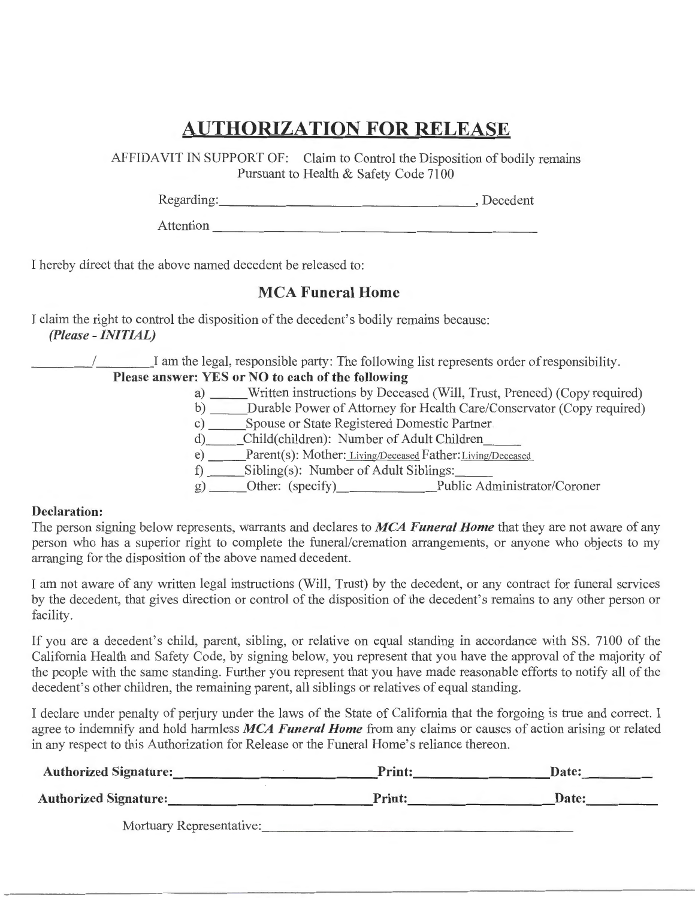# AUTHORIZATION **FOR** RELEASE

AFFIDAVIT IN SUPPORT OF: Claim to Control the Disposition of bodily remains Pursuant to Health & Safety Code 7100

Regarding: Decedent

Attention  $\overline{a}$ 

I hereby direct that the above named decedent be released to:

## MCA Funeral Home

I claim the right to control the disposition of the decedent's bodily remains because: *(Please* - *INITIAL)* 

\_\_\_\_ / I am the legal, responsible party: The following list represents order of responsibility.

## Please answer: YES or NO to each of the following

- a) Written instructions by Deceased (Will, Trust, Preneed) (Copy required)
- b) Durable Power of Attorney for Health Care/Conservator (Copy required)
- c) Spouse or State Registered Domestic Partner
- d) Child(children): Number of Adult Children
- e) \_\_\_\_\_Parent(s): Mother: Living/Deceased Father: Living/Deceased
- f) Sibling(s): Number of Adult Siblings: \_\_
- g) Other: (specify) Public Administrator/Coroner

### Declaration:

The person signing below represents, warrants and declares to *MCA Funeral Home* that they are not aware of any person who has a superior right to complete the funeral/cremation arrangements, or anyone who objects to my arranging for the disposition of the above named decedent.

I am not aware of any written legal instructions (Will, Trust) by the decedent, or any contract for funeral services by the decedent, that gives direction or control of the disposition of the decedent's remains to any other person or facility.

If you are a decedent's child, parent, sibling, or relative on equal standing in accordance with SS. 7100 of the California Health and Safety Code, by signing below, you represent that you have the approval of the majority of the people with the same standing. Further you represent that you have made reasonable efforts to notify all of the decedent's other children, the remaining parent, all siblings or relatives of equal standing.

I declare under penalty of perjury under the laws of the State of California that the forgoing is true and correct. I agree to indemnify and hold harmless *MCA Funeral Home* from any claims or causes of action arising or related in any respect to this Authorization for Release or the Funeral Home's reliance thereon.

| <b>Authorized Signature:</b> | <b>Print:</b> | Date: |
|------------------------------|---------------|-------|
| <b>Authorized Signature:</b> | <b>Print:</b> | Date: |
| Mortuary Representative:     |               |       |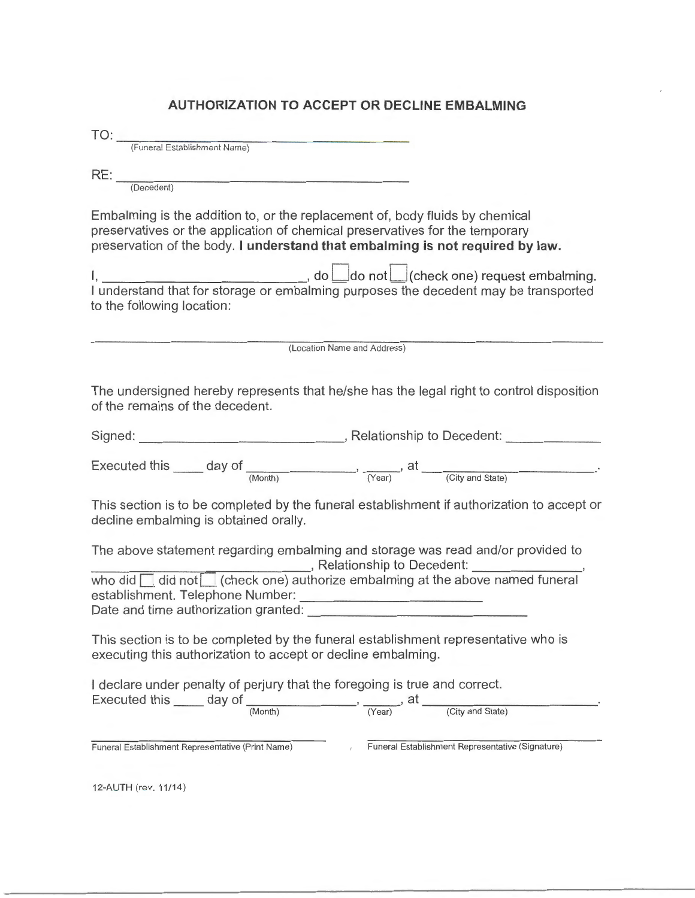### **AUTHORIZATION TO ACCEPT OR DECLINE EMBALMING**

(Funeral Establishment Name)

 $RE:$ 

(Decedent)

Embalming is the addition to, or the replacement of, body fluids by chemical preservatives or the application of chemical preservatives for the temporary preservation of the body. **I understand that embalming is not required by law.** 

I, , do\_ do not I (check one) request embalming. I understand that for storage or embalming purposes the decedent may be transported to the following location:

(Location Name and Address)

The undersigned hereby represents that he/she has the legal right to control disposition of the remains of the decedent.

| Signed: | , Relationship to Decedent: |  |
|---------|-----------------------------|--|
|         |                             |  |

Executed this  $\_\_\_$  day of  $\_\_\_\_$ (Month)  $\_\_\_$ , at  $\_\_\_\_$  (City and State)

This section is to be completed by the funeral establishment if authorization to accept or decline embalming is obtained orally.

The above statement regarding embalming and storage was read and/or provided to , Relationship to Decedent:

who did  $\Box$  did not  $\Box$  (check one) authorize embalming at the above named funeral establishment. Telephone Number: Date and time authorization granted: \_\_\_\_\_\_\_\_\_\_\_\_\_\_ \_

This section is to be completed by the funeral establishment representative who is executing this authorization to accept or decline embalming.

I declare under penalty of perjury that the foregoing is true and correct.

Executed this  $\_\_$  day of  $\_\_$ (Month)  $\_\_$ , at  $\_\_$ (City and State)

Funeral Establishment Representative (Print Name) Funeral Establishment Representative (Signature)

12-AUTH (rev. 11/14)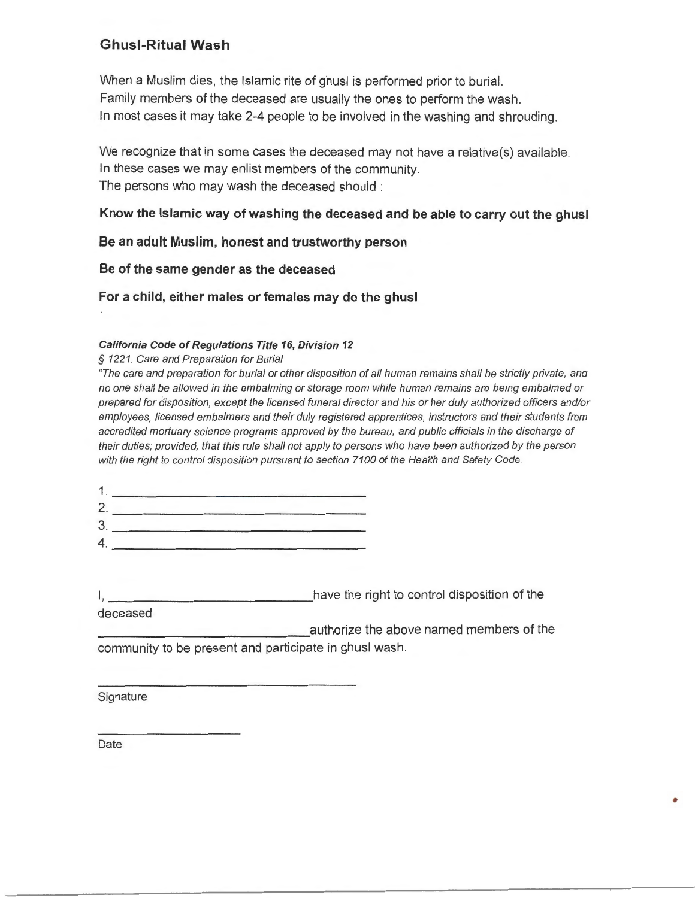## Ghusl-Ritual Wash

When a Muslim dies, the Islamic rite of ghusl is performed prior to burial. Family members of the deceased are usually the ones to perform the wash. In most cases it may take 2-4 people to be involved in the washing and shrouding.

We recognize that in some cases the deceased may not have a relative(s) available. In these cases we may enlist members of the community. The persons who may wash the deceased should :

### Know the Islamic way of washing the deceased and be able to carry out the ghusl

Be an adult Muslim, honest and trustworthy person

Be of the same gender as the deceased

For a child, either males or females may do the ghusl

### California Code of Regulations Title 16, Division 12

§ 1221. Care and Preparation for Burial

"The care and preparation for burial or other disposition of all human remains shall be strictly private, and no one shall be allowed in the embalming or storage room while human remains are being embalmed or prepared for disposition, except the licensed funeral director and his or her duly authorized officers and/or employees, licensed embalmers and their duly registered apprentices, instructors and their students from accredited mortuary science programs approved by the bureau, and public officials in the discharge of their duties; provided, that this rule shall not apply to persons who have been authorized by the person with the right to control disposition pursuant to section 7100 of the Health and Safety Code.

I, **I** have the right to control disposition of the

~~~~~~~~~~~~~~- authorize the above named members of the community to be present and participate in ghusl wash.

•

**Signature** 

deceased

Date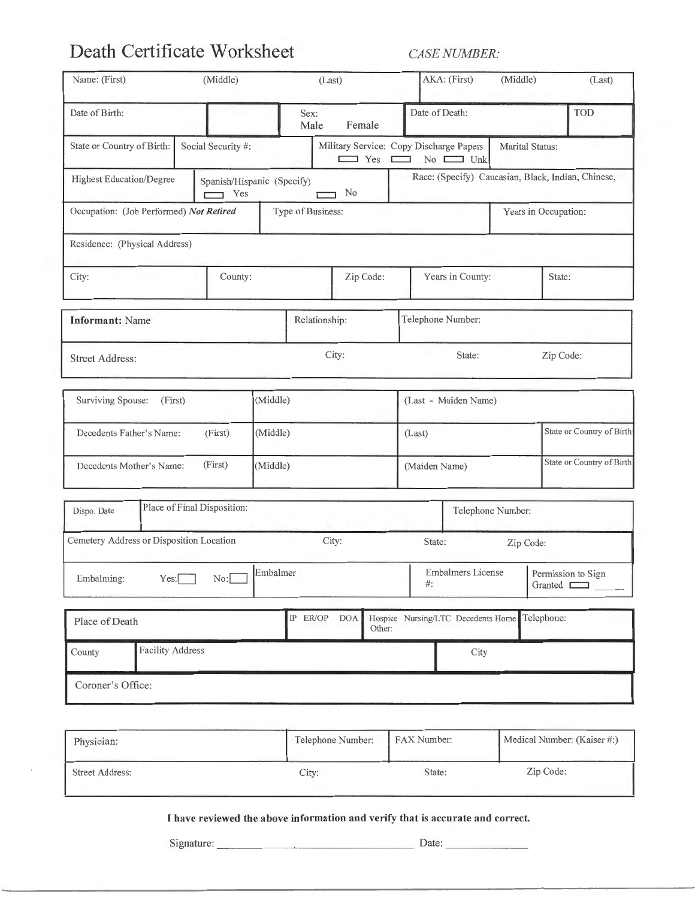# **Death Certificate Worksheet** *CASE NUMBER:*

| Name: (First)                            | (Middle)                                 |          | (Last)                                                |               | AKA: (First)                       | (Middle)                  | (Last)                                             |
|------------------------------------------|------------------------------------------|----------|-------------------------------------------------------|---------------|------------------------------------|---------------------------|----------------------------------------------------|
| Date of Birth:                           |                                          |          | Sex:<br>Male<br>Female                                |               | Date of Death:                     |                           | TOD                                                |
| State or Country of Birth:               | Social Security #:                       |          | Military Service: Copy Discharge Papers<br>$\Box$ Yes | Е<br>$\Box$   | No $\Box$ Unk                      | Marital Status:           |                                                    |
| <b>Highest Education/Degree</b>          | Spanish/Hispanic (Specify)<br>$\Box$ Yes |          | No                                                    |               |                                    |                           | Race: (Specify) Caucasian, Black, Indian, Chinese, |
| Occupation: (Job Performed) Not Retired  |                                          |          | Type of Business:                                     |               |                                    |                           | Years in Occupation:                               |
| Residence: (Physical Address)            |                                          |          |                                                       |               |                                    |                           |                                                    |
| City:                                    | County:                                  |          | Zip Code:                                             |               | Years in County:                   |                           | State:                                             |
| <b>Informant: Name</b>                   |                                          |          | Relationship:                                         |               | Telephone Number:                  |                           |                                                    |
| <b>Street Address:</b>                   |                                          |          | City:                                                 |               | State:                             |                           | Zip Code:                                          |
| Surviving Spouse:<br>(First)             |                                          | (Middle) |                                                       |               | (Last - Maiden Name)               |                           |                                                    |
| Decedents Father's Name:                 | (First)                                  | (Middle) |                                                       |               | (Last)                             |                           | State or Country of Birth:                         |
| Decedents Mother's Name:                 | (First)                                  | (Middle) |                                                       | (Maiden Name) |                                    | State or Country of Birth |                                                    |
| Dispo. Date                              | Place of Final Disposition:              |          |                                                       |               |                                    | Telephone Number:         |                                                    |
| Cemetery Address or Disposition Location |                                          |          | City:                                                 |               | State:                             | Zip Code:                 |                                                    |
| Embalming:                               | $Yes:$ No: $\Box$                        | Embalmer |                                                       | #:            | Embalmers License                  |                           | Permission to Sign<br>Granted <u>Daniel</u>        |
| Place of Death                           |                                          |          | IP ER/OP DOA<br>Other:                                |               | Hospice Nursing/LTC Decedents Home |                           | Telephone:                                         |
| <b>Facility Address</b><br>County        |                                          |          |                                                       |               | City                               |                           |                                                    |
| Coroner's Office:                        |                                          |          |                                                       |               |                                    |                           |                                                    |
| Physician:                               |                                          |          | Telephone Number:                                     | FAX Number:   |                                    |                           | Medical Number: (Kaiser #:)                        |
| <b>Street Address:</b>                   |                                          |          | City:                                                 |               | State:                             |                           | Zip Code:                                          |

**I have reviewed the above information and verify that is accurate and correct.** 

Signature: \_\_\_\_\_ \_\_\_\_ \_\_\_\_\_\_\_ \_ Date: \_\_\_\_\_\_ \_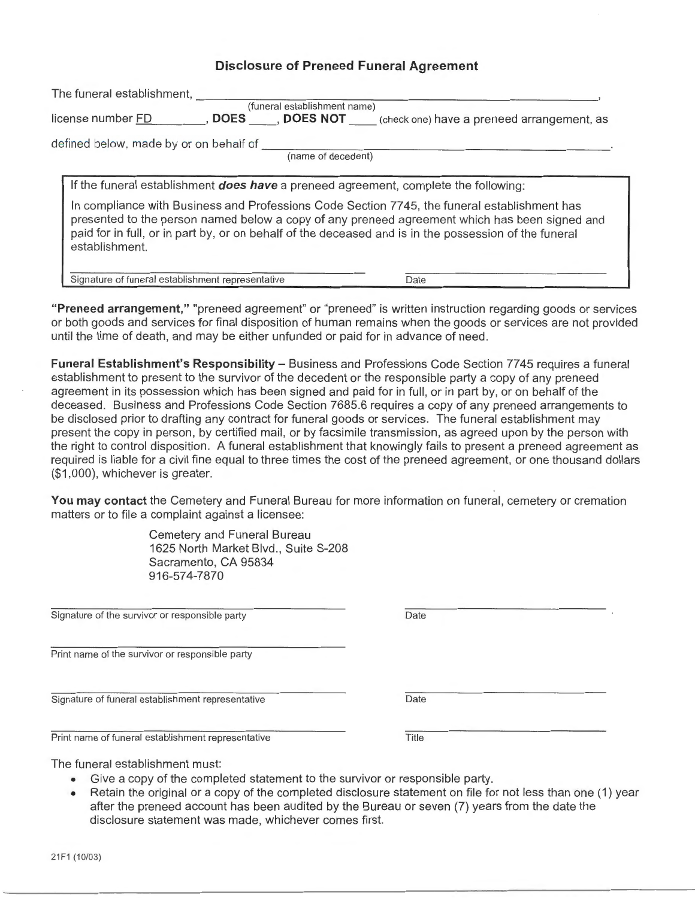### **Disclosure of Preneed Funeral Agreement**

| The funeral establishment,<br>(funeral establishment name)                                                                                                                                                                                                                                                                                                                                                             |
|------------------------------------------------------------------------------------------------------------------------------------------------------------------------------------------------------------------------------------------------------------------------------------------------------------------------------------------------------------------------------------------------------------------------|
| <b>DOES</b> , <b>DOES NOT</b> (check one) have a preneed arrangement, as<br>license number FD                                                                                                                                                                                                                                                                                                                          |
| defined below, made by or on behalf of<br>(name of decedent)                                                                                                                                                                                                                                                                                                                                                           |
| If the funeral establishment <b>does have</b> a preneed agreement, complete the following:<br>In compliance with Business and Professions Code Section 7745, the funeral establishment has<br>presented to the person named below a copy of any preneed agreement which has been signed and<br>paid for in full, or in part by, or on behalf of the deceased and is in the possession of the funeral<br>establishment. |
| Signature of funeral establishment representative<br>Date                                                                                                                                                                                                                                                                                                                                                              |

**"Preneed arrangement,"** "preneed agreement" or "preneed" is written instruction regarding goods or services or both goods and services for final disposition of human remains when the goods or services are not provided until the time of death, and may be either unfunded or paid for in advance of need.

**Funeral Establishment's Responsibility - Business and Professions Code Section 7745 requires a funeral** establishment to present to the survivor of the decedent or the responsible party a copy of any preneed agreement in its possession which has been signed and paid for in full, or in part by, or on behalf of the deceased. Business and Professions Code Section 7685.6 requires a copy of any preneed arrangements to be disclosed prior to drafting any contract for funeral goods or services. The funeral establishment may present the copy in person, by certified mail, or by facsimile transmission, as agreed upon by the person with the right to control disposition. A funeral establishment that knowingly fails to present a preneed agreement as required is liable for a civil fine equal to three times the cost of the preneed agreement, or one thousand dollars (\$1,000), whichever is greater.

**You may contact** the Cemetery and Funeral Bureau for more information on funeral, cemetery or cremation matters or to file a complaint against a licensee:

> Cemetery and Funeral Bureau 1625 North Market Blvd., Suite S-208 Sacramento, CA 95834 916-574-7870

Signature of the survivor or responsible party

Print name of the survivor or responsible party

Signature of funeral establishment representative

Print name of funeral establishment representative

Date

**Date** 

**Title** 

The funeral establishment must:

- Give a copy of the completed statement to the survivor or responsible party.
- Retain the original or a copy of the completed disclosure statement on file for not less than one (1) year after the preneed account has been audited by the Bureau or seven (7) years from the date the disclosure statement was made, whichever comes first.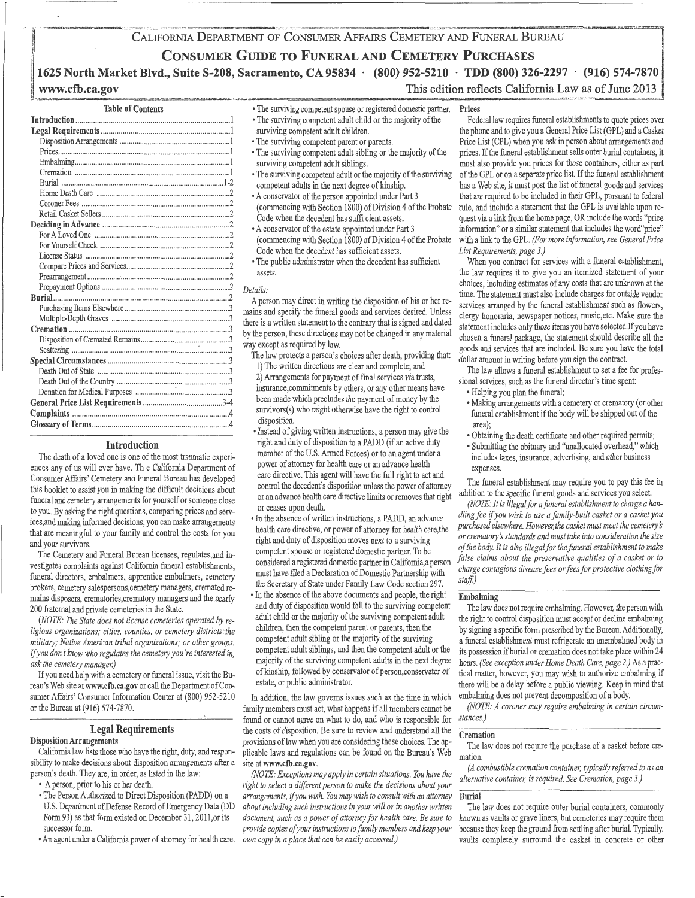#### CALIFORNIA DEPARTMENT OF CONSUMER AFFAIRS CEMETERY AND FUNERAL BUREAU

### **CONSUMER GUIDE TO FUNERAL AND CEMETERY PURCHASES**

### **1625 North Market Blvd., Suite S-208, Sacramento, CA 95834 · (800) 952-5210 · TDD (800) 326-2297 · (916) 574-7870**  This edition reflects California Law as of June 2013

### **www.cfb.ca.gov**

#### Table of Contents

| Burial |
|--------|
|        |
|        |
|        |
|        |
|        |
|        |
|        |
|        |
|        |
|        |
|        |
|        |
|        |
|        |
|        |
|        |
|        |
|        |
|        |
|        |
|        |
|        |
|        |

#### Introduction

The death of a loved one is one of the most traumatic experiences any of us will ever have. Th e California Department of Consumer Affairs' Cemetery and Funeral Bureau has developed this booklet to assist you in making the difficult decisions about funeral and cemetery arrangements for yourself or someone close to you. By asking the right questions, comparing prices and services,and making informed decisions, you can make arrangements that are meaningful to your family and control the costs for you and your survivors.

The Cemetery and Funeral Bureau licenses, regulates,and investigates complaints against California funeral establishments, funeral directors, embalmers, apprentice embalmers, cemetery brokers, cemetery salespersons,cemetery managers, cremated remains disposers, crematories,crematory managers and the nearly 200 fraternal and private cemeteries in the State.

*(NOTE: The State does not license cemeteries operated by religious organizations; cities, counties, or cemetery districts;the military; Native American tribal organizations; or other groups.*  If you don't know who regulates the cemetery you're interested in, *ask the cemetery manager.)* 

If you need help with a cemetery or funeral issue, visit the Bureau's Web site at www.cfb.ca.gov or call the Department of Consumer Affairs' Consumer Information Center at (800) 952-5210 or the Bureau at (916) 574-7870.

### Legal Requirements

Disposition Arrangements

California law lists those who have the right, duty, and responsibility to make decisions about disposition arrangements after a person's death. They are, in order, as listed in the law:

- A person, prior to his or her death.
- •The Person Authorized to Direct Disposition (PADD) on a U.S. Department of Defense Record of Emergency Data (DD Form 93) as that form existed on December 31, 2011,or its successor form.
- •An agent under a California power of attorney for health care.

• The surviving competent spouse or registered domestic partner. •The surviving competent adult child or the majority of the

- surviving competent adult children.
- The surviving competent parent or parents.
- •The surviving competent adult sibling or the majority of the surviving competent adult siblings.
- •The surviving competent adult or the majority of the surviving competent adults in the next degree of kinship.
- •A conservator of the person appointed under Part 3 (commencing with Section 1800) of Division 4 of the Probate Code when the decedent has suffi cient assets.
- •A conservator of the estate appointed under Part 3 (commencing with Section 1800) of Division 4 of the Probate Code when the decedent has sufficient assets.
- The public administrator when the decedent has sufficient assets.

#### *Details:*

A person may direct in writing the disposition of his or her remains and specify the funeral goods and services desired. Unless there is a written statement to the contrary that is signed and dated by the person, these directions may not be changed in any material way except as required by law.

- The law protects a person's choices after death, providing that: 1) The written directions are clear and complete; and 2) Arrangements for payment of final services via trusts, insurance,commitments by others, or any other means have been made which precludes the payment of money by the survivors(s) who might otherwise have the right to control disposition.
- Instead of giving written instructions, a person may give the right and duty of disposition to a PADD (if an active duty member of the U.S. Armed Forces) or to an agent under a power of attorney for health care or an advance health care directive. This agent will have the full right to act and control the decedent's disposition unless the power of attorney or an advance health care directive limits or removes that right or ceases upon death.
- •In the absence of written instructions, a PADD, an advance health care directive, or power of attorney for health care,the right and duty of disposition moves next to a surviving competent spouse or registered domestic partner. To be considered a registered domestic partner in California,a person must have filed a Declaration of Domestic Partnership with the Secretary of State under Family Law Code section 297.
- In the absence of the above documents and people, the right and duty of disposition would fall to the surviving competent adult child or the majority of the surviving competent adult children, then the competent parent or parents, then the competent adult sibling or the majority of the surviving competent adult siblings, and then the competent adult or the majority of the surviving competent adults in the next degree of kinship, followed by conservator of person, conservator of estate, or public administrator.

In addition, the law governs issues such as the time in which family members must act, what happens if all members cannot be found or cannot agree on what to do, and who is responsible for the costs of disposition. Be sure to review and understand all the provisions of law when you are considering these choices. The applicable laws and regulations can be found on the Bureau's Web site at www.cfb.ca.gov.

*(NOTE: Exceptions may apply in certain situations. You have the right to select a different person to make the decisions about your arrangements,* if *you wish. You may wish to consult with an attorney about including such instructions in your will or in another written document, such as a power of attorney for health care. Be sure to provide copies of your instructions to family members and keep your own copy in a place that can be easily accessed.)* 

#### Prices

Federal law requires funeral establishments to quote prices over the phone and to give you a General Price List ( GPL) and a Casket Price List (CPL) when you ask in person about arrangements and prices. If the funeral establishment sells outer burial containers, it must also provide you prices for those containers, either as part of the GPL or on a separate price list. If the funeral establishment has a Web site, it must post the list of funeral goods and services that are required to be included in their GPL, pursuant to federal rule, and include a statement that the GPL is available upon request via a link from the home page, OR include the words "price information" or a similar statement that includes the word"price" with a link to the GPL. *(For more information, see General Price List Requirements, page 3.)* 

When you contract for services with a funeral establishment, the law requires it to give you an itemized statement of your choices, including estimates of any costs that are unknown at the time. The statement must also include charges for outside vendor services arranged by the funeral establishment such as flowers, clergy honoraria, newspaper notices, music,etc. Make sure the statement includes only those items you have selected.If you have chosen a funeral package, the statement should describe all the goods and services that are included. Be sure you have the total dollar amount in writing before you sign the contract.

The law allows a funeral establishment to set a fee for professional services, such as the funeral director's time spent:

- Helping you plan the funeral;
- Making arrangements with a cemetery or crematory (or other funeral establishment if the body will be shipped out of the area);
- Obtaining the death certificate and other required permits;
- Submitting the obituary and "unallocated overhead," which includes taxes, insurance, advertising, and other business expenses.

The funeral establishment may require you to pay this fee in addition to the specific funeral goods and services you select.

*(NOTE: It is illegal for a faneral establishment to charge a handling fee* if *you wish to use a family-built casket or a casket you purchased elsewhere. However, the casket must meet the cemeterys or crematory s standards and must take into consideration the size of the body. It is also illegal for the funeral establishment to make false claims about the preservative qualities of a casket or to charge contagious disease fees or fees for protective clothingfor staff)* 

#### Embalming

The law does not require embalming. However, the person with the right to control disposition must accept or decline embalming by signing a specific form prescribed by the Bureau. Additionally, a funeral establishment must refrigerate an unembalmed body in its possession if burial or cremation does not take place within 24 hours. *(See exception under Home Death Care, page 2.)* As a practical matter, however, you may wish to authorize embalming if there will be a delay before a public viewing. Keep in mind that embalming does not prevent decomposition of a body.

*(NOTE: A coroner may require embalming in certain circumstances.)* 

#### **Cremation**

The law does not require the purchase.of a casket before cremation.

*(A combustible cremation container, typically referred to as an alternative container, is required. See Cremation, page 3.)* 

#### Burial

The law does not require outer burial containers, commonly known as vaults or grave liners, but cemeteries may require them because they keep the ground from settling after burial. Typically, vaults completely surround the casket in concrete or other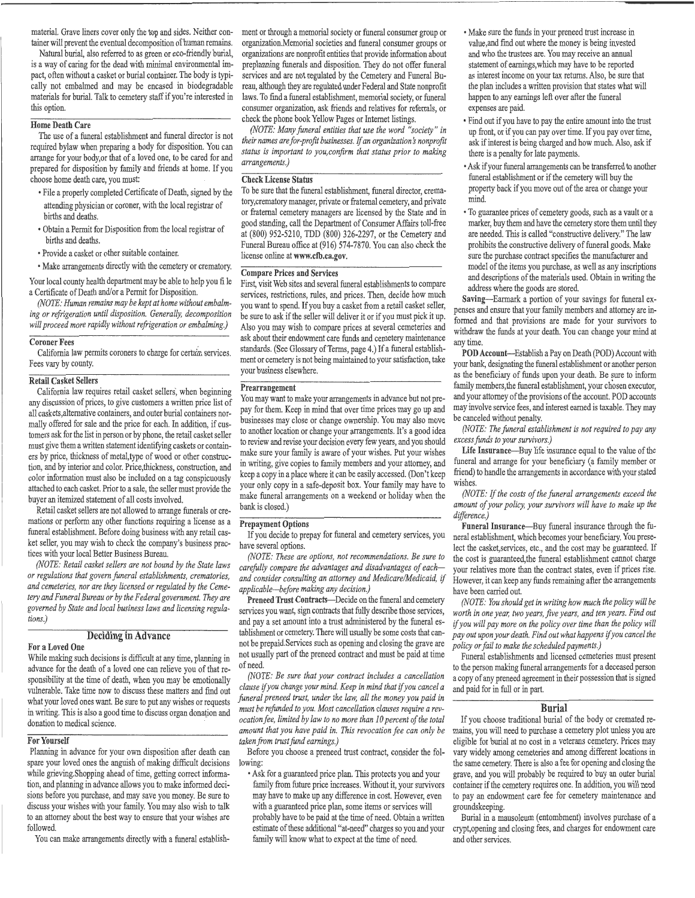material. Grave liners cover only the top and sides. Neither container will prevent the eventual decomposition of human remains.

Natural burial, also referred to as green or eco-friendly burial, is a way of caring for the dead with minimal environmental impact, often without a casket or burial container. The body is typically not embalmed and may be encased in biodegradable materials for burial. Talk to cemetery staff if you're interested in this option.

#### Home Death Care

The use of a funeral establishment and funeral director is not required bylaw when preparing a body for disposition. You can arrange for your body,or that of a loved one, to be cared for and prepared for disposition by family and friends at home. If you choose home death care, you must:

- File a properly completed Certificate of Death, signed by the attending physician or coroner, with the local registrar of births and deaths.
- Obtain a Permit for Disposition from the local registrar of births and deaths.
- Provide a casket or other suitable container.
- Make arrangements directly with the cemetery or crematory.

Your local county health department may be able to help you file a Certificate of Death and/or a Permit for Disposition.

*(NOTE: Human remains may be kept at home without embalming or refrigeration until disposition. Generally, decomposition will proceed more rapidly without refrigeration or embalming.)* 

#### Coroner Fees .

California law permits coroners to charge for certain services. Fees vary by county.

#### Retail Casket Sellers

California law requires retail casket sellers', when beginning any discussion of prices, to give customers a written price list of all caskets,altemative containers, and outer burial containers normally offered for sale and the price for each. In addition, if customers ask for the list in person or by phone, the retail casket seller must give them a written statement identifying caskets or containers by price, thickness of metal, type of wood or other construction, and by interior and color. Price,thickness, construction, and color information must also be included on a tag conspicuously attached to each casket. Prior to a sale, the seller must provide the buyer an itemized statement of all costs involved.

Retail casket sellers are not allowed to arrange funerals or cremations or perform any other functions requiring a license as a funeral establishment. Before doing business with any retail casket seller, you may wish to check the company's business practices with your local Better Business Bureau.

*(NOTE: Retail casket sellers are not bound by the State laws or regulations that govern funeral establishments, crematories, and cemeteries, nor are they licensed or regulated by the Cemetery and Funeral Bureau or by the Federal government. They are governed by State and local business laws and licensing regulations.)* 

### Deciding in Advance

#### For a Loved One

While making such decisions is difficult at any time, planning in advance for the death of a loved one can relieve you of that responsibility at the time of death, when you may be emotionally vulnerable. Take time now to discuss these matters and find out what your loved ones want. Be sure to put any wishes or requests in writing. This is also a good time to discuss organ donation and donation to medical science.

#### For Yourself

Planning in advance for your own disposition after death can spare your loved ones the anguish of making difficult decisions while grieving.Shopping ahead of time, getting correct information, and planning in advance allows you to make informed decisions before you purchase, and may save you money. Be sure to discuss your wishes with your family. You may also wish to talk to an attorney about the best way to ensure that your wishes are followed.

You can make arrangements directly with a funeral establish-

ment or through a memorial society or funeral consumer group or organization.Memorial societies and funeral consumer groups or organizations are nonprofit entities that provide information about preplanning funerals and disposition. They do not offer funeral services and are not regulated by the Cemetery and Funeral Bureau, although they are regulated under Federal and State nonprofit laws. To find a funeral establishment, memorial society, or funeral consumer organization, ask friends and relatives for referrals, or check the phone book Yellow Pages or Internet listings.

*(NOTE: Many funeral entities that use the word "society" in their names are for-profit businesses. If an organization's nonprofit status is important to you,confirm that status prior to making arrangements.)* 

#### Check License Status

To be sure that the funeral establishment, funeral director, crematory,crematory manager, private or fraternal cemetery, and private or fraternal cemetery managers are licensed by the State and in good standing, call the Department of Consumer Affairs toll-free at (800) 952-5210, TDD (800) 326-2297, or the Cemetery and Funeral Bureau office at (916) 574-7870. You can also check the license online at www.ctb.ca.gov.

#### Compare Prices and Services

First, visit Web sites and several funeral establishments to compare services, restrictions, rules, and prices. Then, decide how much you want to spend. If you buy a casket from a retail casket seller, be sure to ask if the seller will deliver it or if you must pick it up. Also you may wish to compare prices at several cemeteries and ask about their endowment care funds and cemetery maintenance standards. (See Glossary of Terms, page 4.) If a funeral establishment or cemetery is not being maintained to your satisfaction, take your business elsewhere.

#### Prearrangement

You may want to make your arrangements in advance but not prepay for them. Keep in mind that over time prices may go up and businesses may close or change ownership. You may also move to another location or change your arrangements. It's a good idea to review and revise your decision every few years, and you should make sure your family is aware of your wishes. Put your wishes in writing, give copies to family members and your attorney, and keep a copy in a place where it can be easily accessed. (Don't keep your only copy in a safe-deposit box. Your family may have to make funeral arrangements on a weekend or holiday when the bank is closed.)

#### Prepayment Options

If you decide to prepay for funeral and cemetery services, you have several options.

*(NOTE: These are options, not recommendations. Be sure to carefully compare the advantages and disadvantages of eachand consider consulting an attorney and Medicare/Medicaid,* if *applicable-before making any decision.)* 

Preneed Trust Contracts-Decide on the funeral and cemetery services you want, sign contracts that fully describe those services, and pay a set amount into a trust administered by the funeral establishment or cemetery. There will usually be some costs that cannot be prepaid.Services such as opening and closing the grave are not usually part of the preneed contract and must be paid at time ofneed.

*(NOTE: Be sure that your contract includes a cancellation clause* if *you change your mind. Keep in mind that* if *you cancel a funeral preneed trust, under the law, all the money you paid in must be refunded to you. Most cancellation clauses require a revocation fee, limited by law to no more than 10 percent of the total amount that you have paid in. This revocation fee can only be taken from trust fund earnings.)* 

Before you choose a preneed trust contract, consider the following:

•Ask for a guaranteed price plan. This protects you and your family from future price increases. Without it, your survivors may have to make up any difference in cost. However, even with a guaranteed price plan, some items or services will probably have to be paid at the time of need. Obtain a written estimate of these additional "at-need" charges so you and your family will know what to expect at the time of need.

- Make sure the funds in your preneed trust increase in value,and find out where the money is being invested and who. the trustees are. You may receive an annual statement of earnings, which may have to be reported as interest income on your tax returns. Also, be sure that the plan includes a written provision that states what will happen to any earnings left over after the funeral expenses are paid.
- •Find out if you have to pay the entire amount into the trust up front, or if you can pay over time. If you pay over time, ask if interest is being charged and how much. Also, ask if there is a penalty for late payments.
- •Ask if your funeral arrangements can be transferred to another funeral establishment or if the cemetery will buy the property back if you move out of the area or change your mind.
- To guarantee prices of cemetery goods, such as a vault or a marker, buy them and have the cemetery store them until they are needed. This is called "constructive delivery." The law prohibits the constructive delivery of funeral goods. Make sure the purchase contract specifies the manufacturer and model of the items you purchase, as well as any inscriptions and descriptions of the materials used. Obtain in writing the address where the goods are stored.

Saving-Earmark a portion of your savings for funeral expenses and ensure that your family members and attorney are informed and that provisions are made for your survivors to withdraw the funds at your death. You can change your mind at anytime.

POD Account-Establish a Pay on Death (POD) Account with your bank, designating the funeral establishment or another person as the beneficiary of funds upon your death. Be sure to inform family members, the funeral establishment, your chosen executor, and your attorney of the provisions of the account. POD accounts may involve service fees, and interest earned is taxable. They may be canceled without penalty.

*(NOTE: The funeral establishment is not required to pay any excess funds to your survivors.)* 

Life Insurance-Buy life insurance equal to the value of the funeral and arrange for your beneficiary (a family member or friend) to handle the arrangements in accordance with your stated wishes.

*(NOTE:* If *the costs of the funeral arrangements exceed the amount of your policy, your survivors will have to make up the difference.)* 

Funeral Insurance-Buy funeral insurance through the funeral establishment, which becomes your beneficiary. You preselect the casket,services, etc., and the cost may be guaranteed. If the cost is guaranteed,the funeral establishment cannot charge your relatives more than the contract states, even if prices rise. However, it can keep any funds remaining after the arrangements have been carried out.

*(NOTE: You should get in writing how much the policy will be worth in one year, two years, five years, and ten years. Find out*  if *you will pay more on the policy over time than the policy will pay out upon your death. Find out what happens* if *you cancel the policy or fail to make the scheduled payments.)* 

Funeral establishments and licensed cemeteries must present to the person making funeral arrangements for a deceased person a copy of any preneed agreement in their possession that is signed and paid for in full or in part.

#### **Burial**

If you choose traditional burial of the body or cremated remains, you will need to purchase a cemetery plot unless you are eligible for burial at no cost in a veterans cemetery. Prices may vary widely among cemeteries and among different locations in the same cemetery. There is also a fee for opening and closing the grave, and you will probably be required to buy an outer burial container if the cemetery requires one. In addition, you will need to pay an endowment care fee for cemetery maintenance and groundskeeping.

Burial in a mausoleum (entombment) involves purchase of a crypt,opening and closing fees, and charges for endowment care and other services.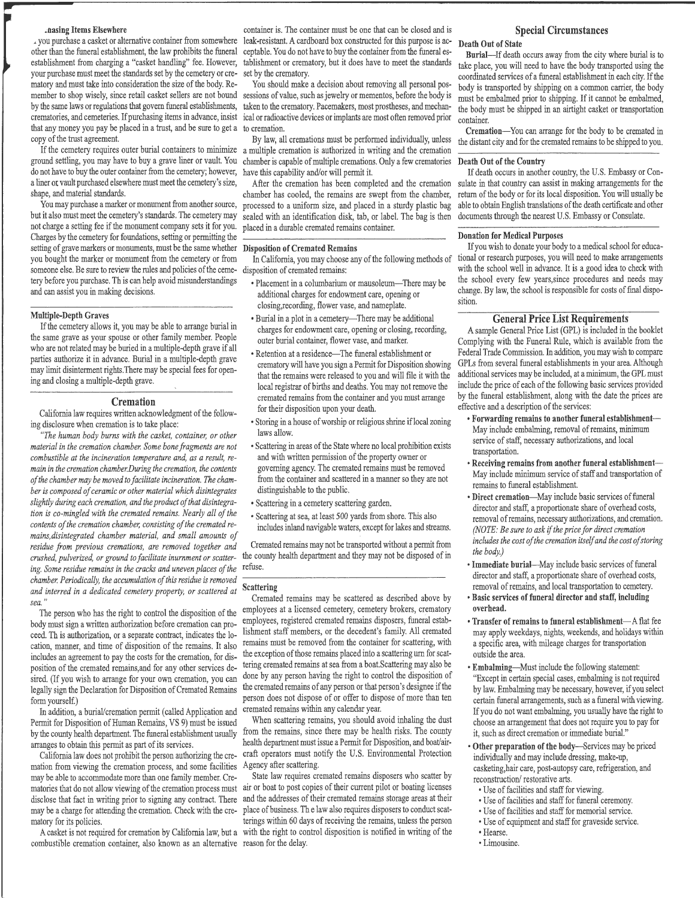#### .hasing Items Elsewhere

, you purchase a casket or alternative container from somewhere other than the funeral establishment, the law prohibits the funeral ceptable. You do not have to buy the container from the funeral esestablishment from charging a "casket handling" fee. However, tablishment or crematory, but it does have to meet the standards your purchase must meet the standards set by the cemetery or crematory and must take into consideration the size of the body. Remember to shop wisely, since retail casket sellers are not bound by the same laws or regulations that govern funeral establishments, taken to the crematory. Pacemakers, most prostheses, and mechanthat any money you pay be placed in a trust, and be sure to get a to cremation. copy of the trust agreement.

If the cemetery requires outer burial containers to minimize ground settling, you may have to buy a grave liner or vault. You do not have to buy the outer container from the cemetery; however, have this capability and/or will permit it. a liner ot vault purchased elsewhere must meet the cemetery's size, shape, and material standards.

You may purchase a marker or monument from another source, but it also must meet the cemetery's standards. The cemetery may not charge a setting fee if the monument company sets it for you. Charges by the cemetery for foundations, setting or permitting the setting of grave markers or monuments, must be the same whether Disposition of Cremated Remains you bought the marker or monument from the cemetery or from someone else. Be sure to review the rules and policies of the cemetery before you purchase. Th is can help avoid misunderstandings and can assist you in making decisions.

#### Multiple-Depth Graves

If the cemetery allows it, you may be able to arrange burial in the same grave as your spouse or other family member. People who are not related may be buried in a multiple-depth grave if all parties authorize it in advance. Burial in a multiple-depth grave may limit disinterment rights.There may be special fees for opening and closing a multiple-depth grave.

#### **Cremation**

California law requires written acknowledgment of the following disclosure when cremation is to take place:

*''The human body burns with the casket, container, or other material in the cremation chamber. Some bone fragments are not combustible at the incineration temperature and, as a result, re* $m$ ain in the cremation chamber. During the cremation, the contents *of the chamber may be moved to facilitate incineration. The chamber is composed of ceramic or other material which disintegrates slightly during each cremation, and the product of that disintegration is co-mingled with the cremated remains. Nearly all of the*  contents of the cremation chamber, consisting of the cremated re*mains, disintegrated chamber material, and small amounts of residue from previous cremations, are removed together and crushed, pulverized, or ground to facilitate inurnment or scattering. Some residue remains in the cracks and uneven places of the chamber. Periodically, the accumulation of this residue is removed and interred in a dedicated cemetery property, or scattered at sea.* 

The person who has the right to control the disposition of the body must sign a written authorization before cremation can proceed. Th is authorization, or a separate contract, indicates the loincludes an agreement to pay the costs for the cremation, for disposition of the cremated remains,and for any other services desired. (If you wish to arrange for your own cremation, you can legally sign the Declaration for Disposition of Cremated Remains form yourself.)

In addition, a burial/cremation permit (called Application and Permit for Disposition of Human Remains, VS 9) must be issued by the county health department. The funeral establishment usually arranges to obtain this permit as part of its services.

California law does not prohibit the person authorizing the cremation from viewing the cremation process, and some facilities may be able to accommodate more than one family member. Crematory for its policies.

combustible cremation container, also known as an alternative reason for the delay.

container is. The container must be one that can be closed and is leak-resistant. A cardboard box constructed for this purpose is acset by the crematory.

crematories, and cemeteries. If purchasing items in advance, insist ical or radioactive devices or implants are most often removed prior You should make a decision about removing all personal possessions of value, such as jewelry or mementos, before the body is

> By law, all cremations must be performed individually, unless a multiple cremation is authorized in writing and the cremation chamber is capable of multiple cremations. Only a few crematories

> After the cremation has been completed and the cremation chamber has cooled, the remains are swept from the chamber, processed to a uniform size, and placed in a sturdy plastic bag sealed with an identification disk, tab, or label. The bag is then placed in a durable cremated remains container.

In California, you may choose any of the following methods of disposition of cremated remains:

- Placement in a columbarium or mausoleum-There may be additional charges for endowment care, opening or closing,recording, flower vase, and nameplate.
- Burial in a plot in a cemetery-There may be additional charges for endowment care, opening or dosing, recording, outer burial container, flower vase, and marker.
- Retention at a residence-The funeral establishment or crematory will have you sign a Permit for Disposition showing that the remains were released to you and will file it with the local registrar of births and deaths. You may not remove the cremated remains from the container and you must arrange for their disposition upon your death.
- Storing in a house of worship or religious shrine iflocal zoning laws allow.
- Scattering in areas of the State where no local prohibition exists and with written permission of the property owner or governing agency. The cremated remains must be removed from the container and scattered in a manner so they are not distinguishable to the public.
- Scattering in a cemetery scattering garden.
- •Scattering at sea, at least 500 yards from shore. This also includes inland navigable waters, except for lakes and streams.

Cremated remains may not be transported without a permit from the county health department and they may not be disposed of in refuse.

#### Scattering

cation, manner, and time of disposition of the remains. It also remains must be removed from the container for scattering, with Cremated remains may be scattered as described above by employees at a licensed cemetery, cemetery brokers, crematory employees, registered cremated remains disposers, funeral establishment staff members, or the decedent's family. All cremated the exception of those remains placed into a scattering urn for scattering cremated remains at sea from a boat.Scattering may also be done by any person having the right to control the disposition of the cremated remains of any person or that person's designee if the person does not dispose of or offer to dispose of more than ten cremated remains within any calendar year.

> When scattering remains, you should avoid inhaling the dust from the remains, since there may be health risks. The county health department must issue a Permit for Disposition, and boat/aircraft operators must notify the U.S. Environmental Protection Agency after scattering.

matories that do not allow viewing of the cremation process must air or boat to post copies of their current pilot or boating licenses disclose that fact in writing prior to signing any contract. There and the addresses of their cremated remains storage areas at their may be a charge for attending the cremation. Check with the cre-place of business. The law also requires disposers to conduct scat-A casket is not required for cremation by California law, but a with the right to control disposition is notified in writing of the State law requires cremated remains disposers who scatter by terings within 60 days of receiving the remains, unless the person

#### Special Circumstances

#### Death Out of State

Burial-If death occurs away from the city where burial is to take place, you will need to have the body transported using the coordinated services of a funeral establishment in each city. If the body is transported by shipping on a common carrier, the body must be embalmed prior to shipping. If it cannot be embalmed, the body must be shipped in an airtight casket or transportation container.

Cremation-You can arrange for the body to be cremated in the distant city and for the cremated remains to be shipped to you.

#### Death Out of the Country

If death occurs in another country, the U.S. Embassy or Consulate in that country can assist in making arrangements for the return of the body or for its local disposition. You will usually be able to obtain English translations of the death certificate and other documents through the nearest U.S. Embassy or Consulate.

#### Donation for Medical Purposes

If you wish to donate your body to a medical school for educational or research purposes, you will need to make arrangements with the school well in advance. It is a good idea to check with the school every few years,since procedures and needs may change. By law, the school is responsible for costs of final disposition.

#### General Price List Requirements

A sample General Price List (GPL) is included in the booklet Complying with the Funeral Rule, which is available from the Federal Trade Commission. In addition, you may wish to compare GPLs from several funeral establishments in your area. Although additional services may be included, at a minimum, the GPL must include the price of each of the following basic services provided by the funeral establishment, along with the date the prices are effective and a description of the services:

- Forwarding remains to another funeral establishment-May include embalming, removal of remains, minimum service of staff, necessary authorizations, and local transportation.
- Receiving remains from another funeral establishment-May include minimum service of staff and transportation of remains to funeral establishment.
- Direct cremation-May include basic services of funeral director and staff, a proportionate share of overhead costs, removal of remains, necessary authorizations, and cremation. *(NOTE: Be sure to ask* if *the price for direct cremation includes the cost of the cremation itself and the cost of storing the body.)*
- Immediate burial-May include basic services of funeral director and staff, a proportionate share of overhead costs, removal of remains, and local transportation to cemetery.
- Basic services of funeral director and staff, including overhead.
- Transfer of remains to funeral establishment-A flat fee may apply weekdays, nights, weekends, and holidays within a specific area, with mileage charges for transportation outside the area.
- Embalming-Must include the following statement: "Except in certain special cases, embalming is not required by law. Embalming may be necessary, however, if you select certain funeral arrangements, such as a funeral with viewing. If you do not want embalming, you usually have the right to choose an arrangement that does not require you to pay for it, such as direct cremation or immediate burial."
- Other preparation of the body-Services may be priced individually and may include dressing, make-up, casketing,hair care, post-autopsy care, refrigeration, and reconstruction/ restorative arts.
	- Use of facilities and staff for viewing.
- •Use of facilities and staff for funeral ceremony.
- Use of facilities and staff for memorial service.
- •Use of equipment and staff for graveside service. •Hearse.
- 
- Limousine.